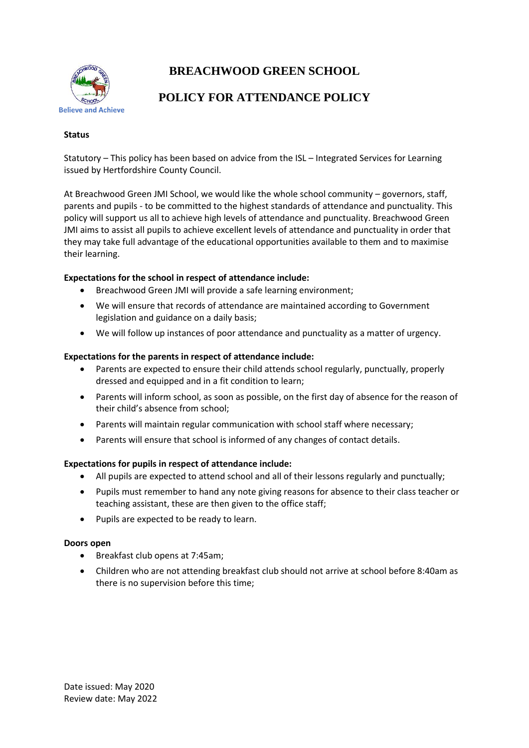

# **BREACHWOOD GREEN SCHOOL**

## **POLICY FOR ATTENDANCE POLICY**

## **Status**

Statutory – This policy has been based on advice from the ISL – Integrated Services for Learning issued by Hertfordshire County Council.

At Breachwood Green JMI School, we would like the whole school community – governors, staff, parents and pupils - to be committed to the highest standards of attendance and punctuality. This policy will support us all to achieve high levels of attendance and punctuality. Breachwood Green JMI aims to assist all pupils to achieve excellent levels of attendance and punctuality in order that they may take full advantage of the educational opportunities available to them and to maximise their learning.

## **Expectations for the school in respect of attendance include:**

- Breachwood Green JMI will provide a safe learning environment;
- We will ensure that records of attendance are maintained according to Government legislation and guidance on a daily basis;
- We will follow up instances of poor attendance and punctuality as a matter of urgency.

## **Expectations for the parents in respect of attendance include:**

- Parents are expected to ensure their child attends school regularly, punctually, properly dressed and equipped and in a fit condition to learn;
- Parents will inform school, as soon as possible, on the first day of absence for the reason of their child's absence from school;
- Parents will maintain regular communication with school staff where necessary;
- Parents will ensure that school is informed of any changes of contact details.

#### **Expectations for pupils in respect of attendance include:**

- All pupils are expected to attend school and all of their lessons regularly and punctually;
- Pupils must remember to hand any note giving reasons for absence to their class teacher or teaching assistant, these are then given to the office staff;
- Pupils are expected to be ready to learn.

#### **Doors open**

- Breakfast club opens at 7:45am;
- Children who are not attending breakfast club should not arrive at school before 8:40am as there is no supervision before this time;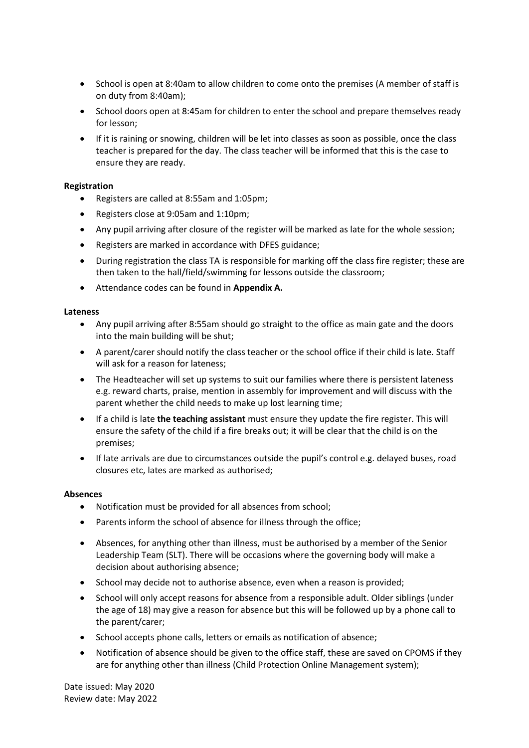- School is open at 8:40am to allow children to come onto the premises (A member of staff is on duty from 8:40am);
- School doors open at 8:45am for children to enter the school and prepare themselves ready for lesson;
- If it is raining or snowing, children will be let into classes as soon as possible, once the class teacher is prepared for the day. The class teacher will be informed that this is the case to ensure they are ready.

## **Registration**

- Registers are called at 8:55am and 1:05pm;
- Registers close at 9:05am and 1:10pm;
- Any pupil arriving after closure of the register will be marked as late for the whole session;
- Registers are marked in accordance with DFES guidance;
- During registration the class TA is responsible for marking off the class fire register; these are then taken to the hall/field/swimming for lessons outside the classroom;
- Attendance codes can be found in **Appendix A.**

#### **Lateness**

- Any pupil arriving after 8:55am should go straight to the office as main gate and the doors into the main building will be shut;
- A parent/carer should notify the class teacher or the school office if their child is late. Staff will ask for a reason for lateness;
- The Headteacher will set up systems to suit our families where there is persistent lateness e.g. reward charts, praise, mention in assembly for improvement and will discuss with the parent whether the child needs to make up lost learning time;
- If a child is late **the teaching assistant** must ensure they update the fire register. This will ensure the safety of the child if a fire breaks out; it will be clear that the child is on the premises;
- If late arrivals are due to circumstances outside the pupil's control e.g. delayed buses, road closures etc, lates are marked as authorised;

#### **Absences**

- Notification must be provided for all absences from school;
- Parents inform the school of absence for illness through the office:
- Absences, for anything other than illness, must be authorised by a member of the Senior Leadership Team (SLT). There will be occasions where the governing body will make a decision about authorising absence;
- School may decide not to authorise absence, even when a reason is provided;
- School will only accept reasons for absence from a responsible adult. Older siblings (under the age of 18) may give a reason for absence but this will be followed up by a phone call to the parent/carer;
- School accepts phone calls, letters or emails as notification of absence;
- Notification of absence should be given to the office staff, these are saved on CPOMS if they are for anything other than illness (Child Protection Online Management system);

Date issued: May 2020 Review date: May 2022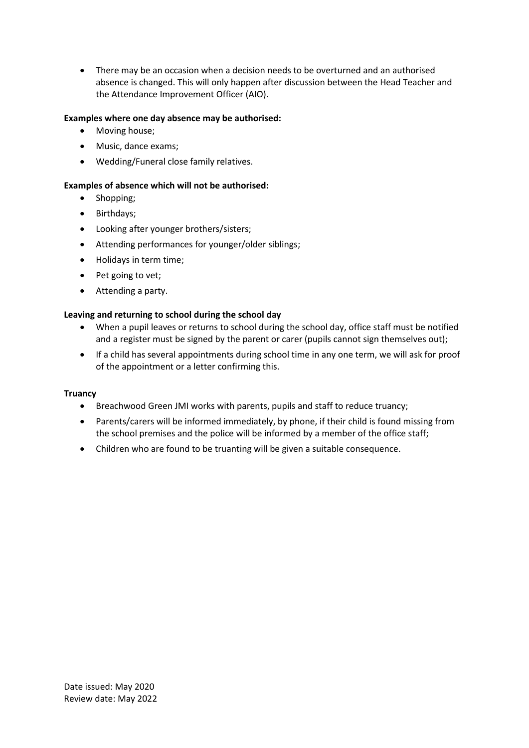There may be an occasion when a decision needs to be overturned and an authorised absence is changed. This will only happen after discussion between the Head Teacher and the Attendance Improvement Officer (AIO).

## **Examples where one day absence may be authorised:**

- Moving house;
- Music, dance exams:
- Wedding/Funeral close family relatives.

## **Examples of absence which will not be authorised:**

- Shopping;
- Birthdays;
- Looking after younger brothers/sisters;
- Attending performances for younger/older siblings;
- Holidays in term time;
- Pet going to vet;
- Attending a party.

## **Leaving and returning to school during the school day**

- When a pupil leaves or returns to school during the school day, office staff must be notified and a register must be signed by the parent or carer (pupils cannot sign themselves out);
- If a child has several appointments during school time in any one term, we will ask for proof of the appointment or a letter confirming this.

#### **Truancy**

- Breachwood Green JMI works with parents, pupils and staff to reduce truancy;
- Parents/carers will be informed immediately, by phone, if their child is found missing from the school premises and the police will be informed by a member of the office staff;
- Children who are found to be truanting will be given a suitable consequence.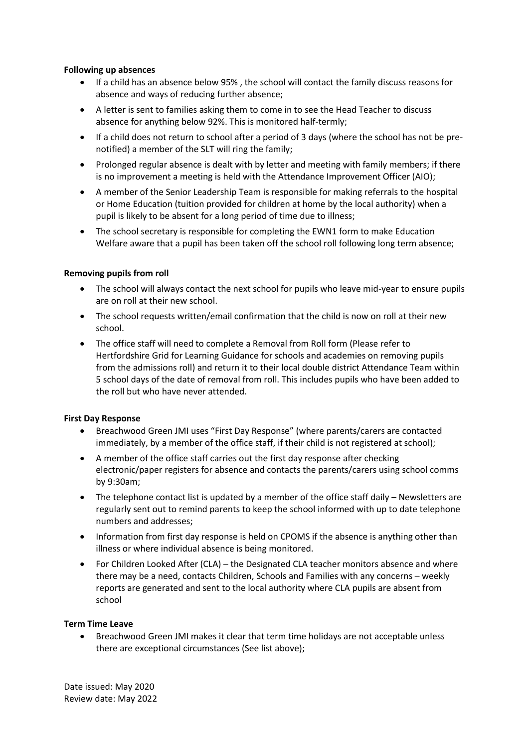## **Following up absences**

- If a child has an absence below 95% , the school will contact the family discuss reasons for absence and ways of reducing further absence;
- A letter is sent to families asking them to come in to see the Head Teacher to discuss absence for anything below 92%. This is monitored half-termly;
- If a child does not return to school after a period of 3 days (where the school has not be prenotified) a member of the SLT will ring the family;
- Prolonged regular absence is dealt with by letter and meeting with family members; if there is no improvement a meeting is held with the Attendance Improvement Officer (AIO);
- A member of the Senior Leadership Team is responsible for making referrals to the hospital or Home Education (tuition provided for children at home by the local authority) when a pupil is likely to be absent for a long period of time due to illness;
- The school secretary is responsible for completing the EWN1 form to make Education Welfare aware that a pupil has been taken off the school roll following long term absence;

## **Removing pupils from roll**

- The school will always contact the next school for pupils who leave mid-year to ensure pupils are on roll at their new school.
- The school requests written/email confirmation that the child is now on roll at their new school.
- The office staff will need to complete a Removal from Roll form (Please refer to Hertfordshire Grid for Learning Guidance for schools and academies on removing pupils from the admissions roll) and return it to their local double district Attendance Team within 5 school days of the date of removal from roll. This includes pupils who have been added to the roll but who have never attended.

#### **First Day Response**

- Breachwood Green JMI uses "First Day Response" (where parents/carers are contacted immediately, by a member of the office staff, if their child is not registered at school);
- A member of the office staff carries out the first day response after checking electronic/paper registers for absence and contacts the parents/carers using school comms by 9:30am;
- The telephone contact list is updated by a member of the office staff daily Newsletters are regularly sent out to remind parents to keep the school informed with up to date telephone numbers and addresses;
- Information from first day response is held on CPOMS if the absence is anything other than illness or where individual absence is being monitored.
- For Children Looked After (CLA) the Designated CLA teacher monitors absence and where there may be a need, contacts Children, Schools and Families with any concerns – weekly reports are generated and sent to the local authority where CLA pupils are absent from school

#### **Term Time Leave**

 Breachwood Green JMI makes it clear that term time holidays are not acceptable unless there are exceptional circumstances (See list above);

Date issued: May 2020 Review date: May 2022